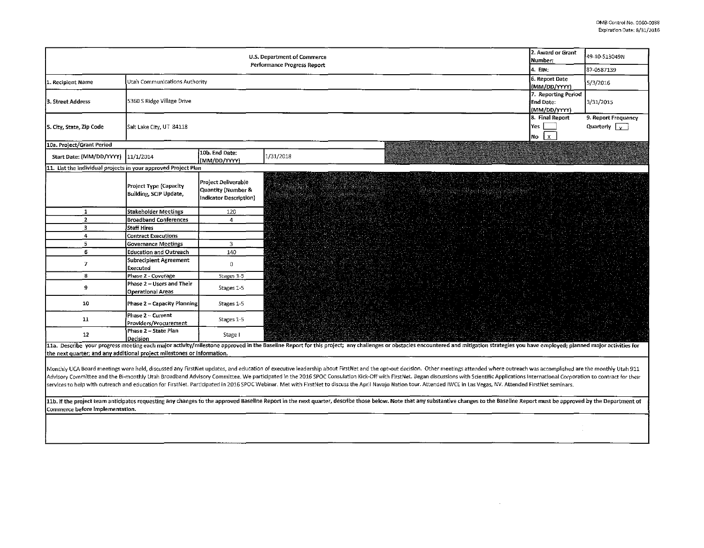| 2. Award or Grant<br>U.S. Department of Commerce<br>Number:<br>Performance Progress Report                                                                                                                                                                                                                                                                                                                                                                                                                                                                                                                                                                                               |                                                         |                                                                     |              |                                                         | 49-10-513049N<br>87-0587139                         |  |  |  |
|------------------------------------------------------------------------------------------------------------------------------------------------------------------------------------------------------------------------------------------------------------------------------------------------------------------------------------------------------------------------------------------------------------------------------------------------------------------------------------------------------------------------------------------------------------------------------------------------------------------------------------------------------------------------------------------|---------------------------------------------------------|---------------------------------------------------------------------|--------------|---------------------------------------------------------|-----------------------------------------------------|--|--|--|
| 1. Recipient Name                                                                                                                                                                                                                                                                                                                                                                                                                                                                                                                                                                                                                                                                        | Utah Communications Authority                           |                                                                     |              | 4. EIN:<br>6. Report Date<br>(MM/DD/YYYY)               | 5/3/2016                                            |  |  |  |
| 3. Street Address                                                                                                                                                                                                                                                                                                                                                                                                                                                                                                                                                                                                                                                                        | 5360 S Ridge Village Drive                              |                                                                     |              | 7. Reporting Period<br><b>End Date:</b><br>(MM/DD/YYYY) | 3/31/2015                                           |  |  |  |
| 5. City, State, Zip Code                                                                                                                                                                                                                                                                                                                                                                                                                                                                                                                                                                                                                                                                 | Salt Lake City, UT 84118                                |                                                                     |              | 8. Final Report<br>Yes<br>No<br>$\mathbf{x}$            | 9. Report Frequency<br>Quarterly $\boxed{\sqrt{ }}$ |  |  |  |
| 10a. Project/Grant Period                                                                                                                                                                                                                                                                                                                                                                                                                                                                                                                                                                                                                                                                |                                                         |                                                                     |              |                                                         |                                                     |  |  |  |
| Start Date: (MM/DD/YYYY)  11/1/2014                                                                                                                                                                                                                                                                                                                                                                                                                                                                                                                                                                                                                                                      |                                                         | 10b. End Date:<br>(MM/DD/YYYY)                                      | 1/31/2018    |                                                         |                                                     |  |  |  |
| 11. List the individual projects in your approved Project Plan                                                                                                                                                                                                                                                                                                                                                                                                                                                                                                                                                                                                                           |                                                         |                                                                     |              |                                                         |                                                     |  |  |  |
|                                                                                                                                                                                                                                                                                                                                                                                                                                                                                                                                                                                                                                                                                          | <b>Project Type (Capacity</b><br>Building, SCIP Update, | Project Deliverable<br>Quantity (Number &<br>Indicator Description) | lata angguna |                                                         |                                                     |  |  |  |
| $\mathbf{1}$                                                                                                                                                                                                                                                                                                                                                                                                                                                                                                                                                                                                                                                                             | Stakeholder Meetings                                    | 120                                                                 |              |                                                         |                                                     |  |  |  |
| $\overline{2}$                                                                                                                                                                                                                                                                                                                                                                                                                                                                                                                                                                                                                                                                           | <b>Broadband Conferences</b>                            | $\overline{4}$                                                      |              |                                                         |                                                     |  |  |  |
| $\overline{\mathbf{3}}$                                                                                                                                                                                                                                                                                                                                                                                                                                                                                                                                                                                                                                                                  | Staff Hires                                             |                                                                     |              |                                                         |                                                     |  |  |  |
| 4                                                                                                                                                                                                                                                                                                                                                                                                                                                                                                                                                                                                                                                                                        | <b>Contract Executions</b>                              |                                                                     |              |                                                         |                                                     |  |  |  |
| 5                                                                                                                                                                                                                                                                                                                                                                                                                                                                                                                                                                                                                                                                                        | <b>Governance Meetings</b>                              | 3                                                                   |              |                                                         |                                                     |  |  |  |
| 6                                                                                                                                                                                                                                                                                                                                                                                                                                                                                                                                                                                                                                                                                        | <b>Education and Outreach</b>                           | 140                                                                 |              |                                                         |                                                     |  |  |  |
| $\overline{7}$                                                                                                                                                                                                                                                                                                                                                                                                                                                                                                                                                                                                                                                                           | Subrecipient Agreement<br>Executed                      | 0                                                                   |              |                                                         |                                                     |  |  |  |
| 8                                                                                                                                                                                                                                                                                                                                                                                                                                                                                                                                                                                                                                                                                        | Phase 2 - Coverage                                      | Stages 1-5                                                          |              |                                                         |                                                     |  |  |  |
| 9                                                                                                                                                                                                                                                                                                                                                                                                                                                                                                                                                                                                                                                                                        | Phase 2 - Users and Their<br>Operational Areas          | Stages 1-5                                                          |              |                                                         |                                                     |  |  |  |
| 10                                                                                                                                                                                                                                                                                                                                                                                                                                                                                                                                                                                                                                                                                       | Phase 2 - Capacity Planning                             | Stages 1-5                                                          |              |                                                         |                                                     |  |  |  |
| 11                                                                                                                                                                                                                                                                                                                                                                                                                                                                                                                                                                                                                                                                                       | Phase 2 - Current<br>Providers/Procurement              | Stages 1-5                                                          |              |                                                         |                                                     |  |  |  |
| 12 <sup>2</sup>                                                                                                                                                                                                                                                                                                                                                                                                                                                                                                                                                                                                                                                                          | Phase 2 - State Plan<br>Decision                        | Stage I                                                             |              |                                                         |                                                     |  |  |  |
| 11a. Describe your progress meeting each major activity/milestone approved in the Baseline Report for this project; any challenges or obstacles encountered and mitigation strategies you have employed; planned major activit                                                                                                                                                                                                                                                                                                                                                                                                                                                           |                                                         |                                                                     |              |                                                         |                                                     |  |  |  |
| the next quarter; and any additional project milestones or information.                                                                                                                                                                                                                                                                                                                                                                                                                                                                                                                                                                                                                  |                                                         |                                                                     |              |                                                         |                                                     |  |  |  |
| Monthly UCA Board meetings were held, discussed any FirstNet updates, and education of executive leadership about FirstNet and the opt-out decision. Other meetings attended where outreach was accomplished are the monthly U<br>Advisory Committee and the Bi-monthly Utah Broadband Advisory Committee. We participated in the 2016 SPOC Consulation Kick-Off with FirstNet. Began discussions with Scientific Applications International Corporation to cont<br>services to help with outreach and education for FirstNet. Participated in 2016 SPOC Webinar. Met with FirstNet to discuss the April Navajo Nation tour. Attended IWCE in Las Vegas, NV. Attended FirstNet seminars. |                                                         |                                                                     |              |                                                         |                                                     |  |  |  |
| 11b. If the project team anticipates requesting any changes to the approved Baseline Report in the next quarter, describe those below. Note that any substantive changes to the Baseline Report must be approved by the Depart<br>Commerce before implementation.                                                                                                                                                                                                                                                                                                                                                                                                                        |                                                         |                                                                     |              |                                                         |                                                     |  |  |  |

 $\sim 10^{-10}$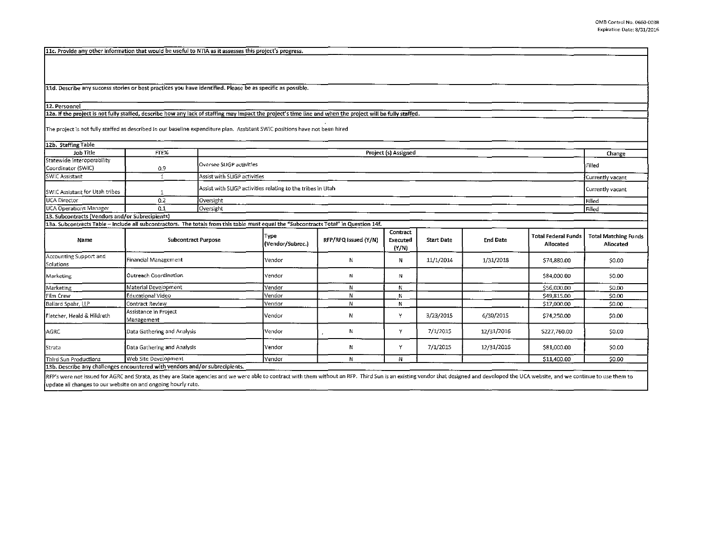11c. Provide any other information that would be useful to NTIA as it assesses this project's progress.

lld. Describe any success stories or best practices you have identified. Please be as specific as possible.

## 12. Personnel

12a. If the project is not fully staffed, describe how any lack of staffing may impact the project's time line and when the project will be fully staffed.

The project is not fully staffed as described in our baseline expenditure plan. Assistant SWIC positions have not been hired

| 12b. Staffing Table                                                                                                                   |                                     |                                                             |                              |                      |                               |                   |                 |                                         |                                          |
|---------------------------------------------------------------------------------------------------------------------------------------|-------------------------------------|-------------------------------------------------------------|------------------------------|----------------------|-------------------------------|-------------------|-----------------|-----------------------------------------|------------------------------------------|
| Job Title                                                                                                                             | FTE%                                | Project (s) Assigned                                        |                              |                      |                               |                   |                 |                                         | Change                                   |
| Statewide Interoperability<br>Coordinator (SWIC)                                                                                      | 0.9                                 |                                                             | Oversee SLIGP activities     |                      |                               |                   |                 |                                         |                                          |
| SWIC Assistant                                                                                                                        | $\mathbf{1}$                        |                                                             | Assist with SLIGP activities |                      |                               |                   |                 |                                         |                                          |
| SWIC Assistant for Utah tribes                                                                                                        | -1                                  | Assist with SLIGP activities relating to the tribes in Utah |                              |                      |                               |                   |                 |                                         | Currently vacant                         |
| UCA Director                                                                                                                          | 0.2                                 | Oversight                                                   |                              |                      |                               |                   |                 |                                         |                                          |
| <b>UCA Operations Manager</b>                                                                                                         | 0.1                                 | Oversight                                                   |                              |                      |                               |                   |                 |                                         |                                          |
| 13. Subcontracts (Vendors and/or Subrecipients)                                                                                       |                                     |                                                             |                              |                      |                               |                   |                 |                                         |                                          |
| 13a. Subcontracts Table - include all subcontractors. The totals from this table must equal the "Subcontracts Total" in Question 14f. |                                     |                                                             |                              |                      |                               |                   |                 |                                         |                                          |
| Name                                                                                                                                  |                                     | <b>Subcontract Purpose</b>                                  | Type<br>(Vendor/Subrec.)     | RFP/RFQ Issued (Y/N) | Contract<br>Executed<br>(Y/N) | <b>Start Date</b> | <b>End Date</b> | <b>Total Federal Funds</b><br>Allocated | <b>Total Matching Funds</b><br>Allocated |
| Accounting Support and<br>Solutions                                                                                                   | Financial Management                |                                                             | lVendor                      | N                    | Ν                             | 11/1/2014         | 1/31/2018       | \$74,880.00                             | \$0.00                                   |
| Marketing                                                                                                                             | Outreach Coordination               |                                                             | <b>Vendor</b>                | Ν                    | N                             |                   |                 | \$84,000.00                             | \$0.00                                   |
| Marketing                                                                                                                             | Material Development                |                                                             | Vendor                       | N                    | И                             |                   |                 | \$56,000.00                             | \$0.00                                   |
| Film Crew                                                                                                                             | Educational Video                   |                                                             | Vendor                       | N                    | N                             |                   |                 | \$49,815.00                             | \$0.00                                   |
| Ballard Spahr, LLP                                                                                                                    | Contract Review                     |                                                             | Vendor                       | N                    | N                             |                   |                 | \$17,000.00                             | \$0.00                                   |
| Fletcher, Heald & Hildreth                                                                                                            | Assistance in Project<br>Management |                                                             | Vendor                       | Ν                    | ٧                             | 3/23/2015         | 6/30/2015       | \$74,250.00                             | \$0.00                                   |
| <b>AGRC</b>                                                                                                                           | Data Gathering and Analysis         |                                                             | <b>Vendor</b>                | Ν                    | Y                             | 7/1/2015          | 12/31/2016      | \$227,760.00                            | \$0.00                                   |
| <b>I</b> Strata                                                                                                                       | Data Gathering and Analysis         |                                                             | <b>I</b> Vendor              | И                    | Y                             | 7/1/2015          | 12/31/2016      | \$81,000.00                             | \$0.00                                   |
| Third Sun Productions                                                                                                                 | Web Site Development                |                                                             | Vendor                       | N                    | Ν                             |                   |                 | \$11,400.00                             | \$0.00                                   |
| 13b. Describe any challenges encountered with vendors and/or subrecipients.                                                           |                                     |                                                             |                              |                      |                               |                   |                 |                                         |                                          |

RFP's were not issued for AGRC and Strata, as they are State agencies and we were able to contract with them without an RFP. Third Sun is an existing vendor that designed and developed the UCA website, and we continue to u update all changes to our website on and ongoing hourly rate.